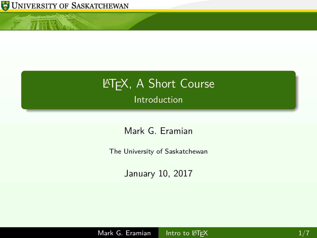

<span id="page-0-0"></span>小豆酥

# **LATEX, A Short Course Introduction**

Mark G. Eramian

The University of Saskatchewan

January 10, 2017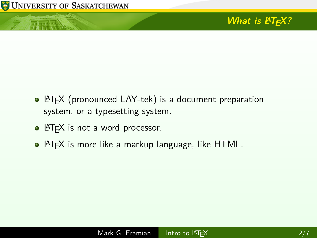$\overline{1}$  and  $\overline{1}$ 

## **What is LATEX?**

- LATEX (pronounced LAY-tek) is a document preparation system, or a typesetting system.
- **·** LATEX is not a word processor.
- $\bullet$  LAT<sub>F</sub>X is more like a markup language, like HTML.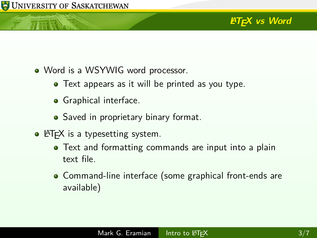### **LATEX** vs Word

- Word is a WSYWIG word processor.
	- **•** Text appears as it will be printed as you type.
	- Graphical interface.
	- Saved in proprietary binary format.
- $\bullet$  LAT<sub>F</sub>X is a typesetting system.
	- Text and formatting commands are input into a plain text file.
	- Command-line interface (some graphical front-ends are available)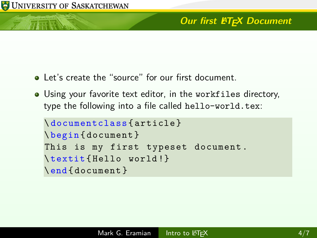#### **Our first LATEX Document**

- Let's create the "source" for our first document.
- Using your favorite text editor, in the workfiles directory, type the following into a file called hello-world.tex:

```
\ documentclass { article }
\ begin { document }
This is my first typeset document.
\ textit { Hello world !}
\end{ document }
```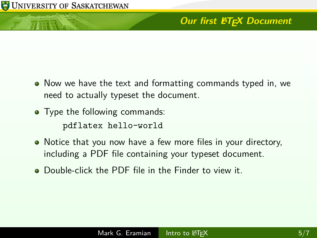### **Our first LATEX Document**

- Now we have the text and formatting commands typed in, we need to actually typeset the document.
- Type the following commands: pdflatex hello-world
- Notice that you now have a few more files in your directory, including a PDF file containing your typeset document.
- **•** Double-click the PDF file in the Finder to view it.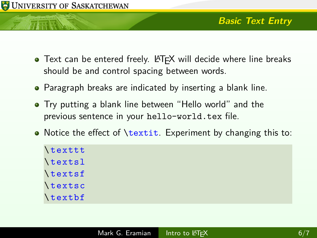

- Text can be entered freely. LATEX will decide where line breaks should be and control spacing between words.
- **•** Paragraph breaks are indicated by inserting a blank line.
- Try putting a blank line between "Hello world" and the previous sentence in your hello-world.tex file.
- Notice the effect of **\textit.** Experiment by changing this to:

| \texttt       |
|---------------|
| \textsl       |
| \textsf       |
| <i>dextsc</i> |
| \textbf       |